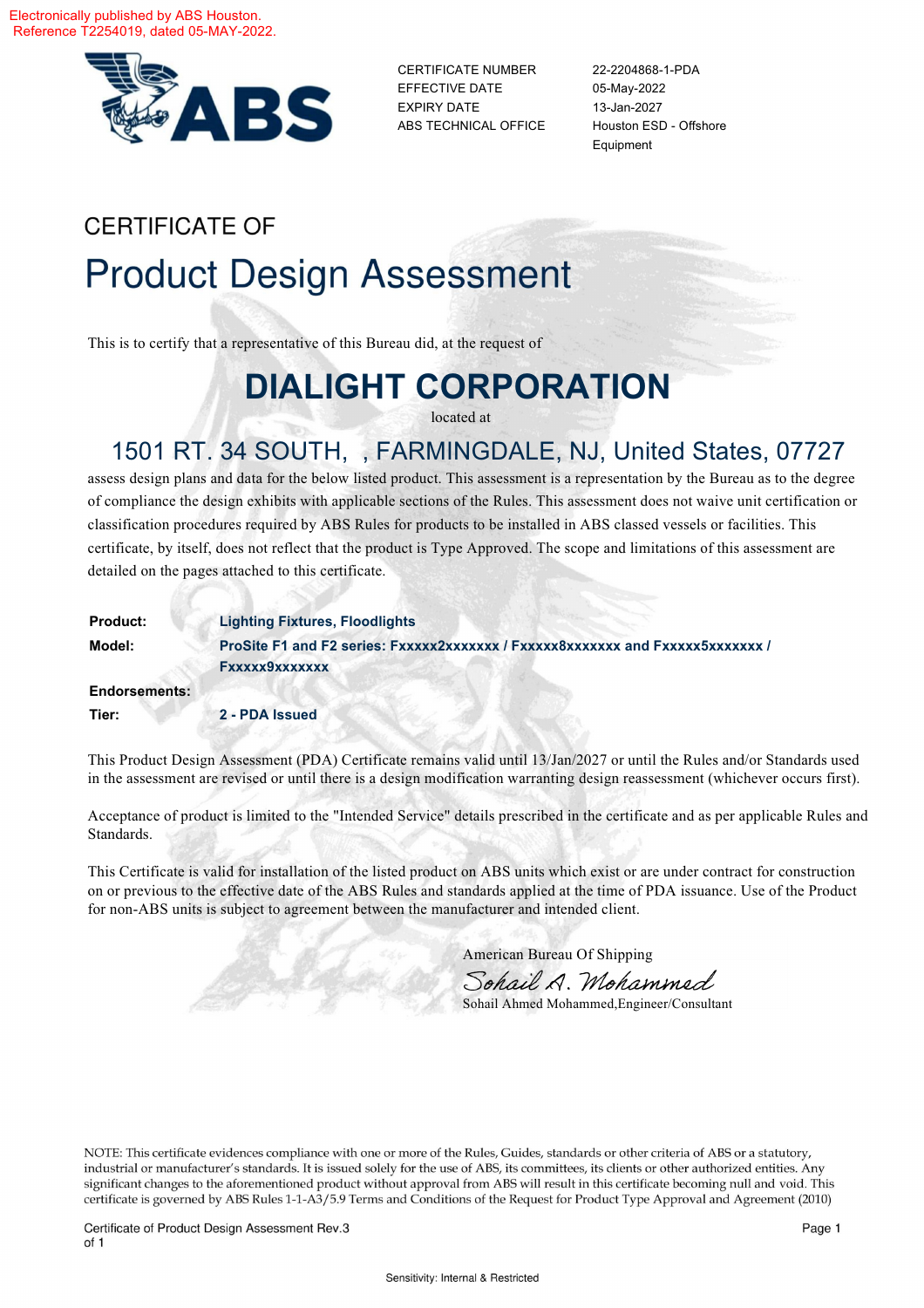

CERTIFICATE NUMBER 22-2204868-1-PDA EFFECTIVE DATE 05-May-2022 EXPIRY DATE 13-Jan-2027 ABS TECHNICAL OFFICE Houston ESD - Offshore

Equipment

# **CERTIFICATE OF Product Design Assessment**

This is to certify that a representative of this Bureau did, at the request of

# **DIALIGHT CORPORATION**

located at

## 1501 RT. 34 SOUTH, , FARMINGDALE, NJ, United States, 07727

assess design plans and data for the below listed product. This assessment is a representation by the Bureau as to the degree of compliance the design exhibits with applicable sections of the Rules. This assessment does not waive unit certification or classification procedures required by ABS Rules for products to be installed in ABS classed vessels or facilities. This certificate, by itself, does not reflect that the product is Type Approved. The scope and limitations of this assessment are detailed on the pages attached to this certificate.

| <b>Product:</b>      | <b>Lighting Fixtures, Floodlights</b>                                          |
|----------------------|--------------------------------------------------------------------------------|
| Model:               | ProSite F1 and F2 series: Fxxxxx2xxxxxxx / Fxxxxx8xxxxxxx and Fxxxxx5xxxxxxx / |
|                      | Fxxxxx9xxxxxxx                                                                 |
| <b>Endorsements:</b> |                                                                                |
| Tier:                | 2 - PDA Issued                                                                 |

This Product Design Assessment (PDA) Certificate remains valid until 13/Jan/2027 or until the Rules and/or Standards used in the assessment are revised or until there is a design modification warranting design reassessment (whichever occurs first).

Acceptance of product is limited to the "Intended Service" details prescribed in the certificate and as per applicable Rules and Standards.

This Certificate is valid for installation of the listed product on ABS units which exist or are under contract for construction on or previous to the effective date of the ABS Rules and standards applied at the time of PDA issuance. Use of the Product for non-ABS units is subject to agreement between the manufacturer and intended client.

American Bureau Of Shipping

Sohail A. Mohammed

Sohail Ahmed Mohammed,Engineer/Consultant

NOTE: This certificate evidences compliance with one or more of the Rules, Guides, standards or other criteria of ABS or a statutory, industrial or manufacturer's standards. It is issued solely for the use of ABS, its committees, its clients or other authorized entities. Any significant changes to the aforementioned product without approval from ABS will result in this certificate becoming null and void. This certificate is governed by ABS Rules 1-1-A3/5.9 Terms and Conditions of the Request for Product Type Approval and Agreement (2010)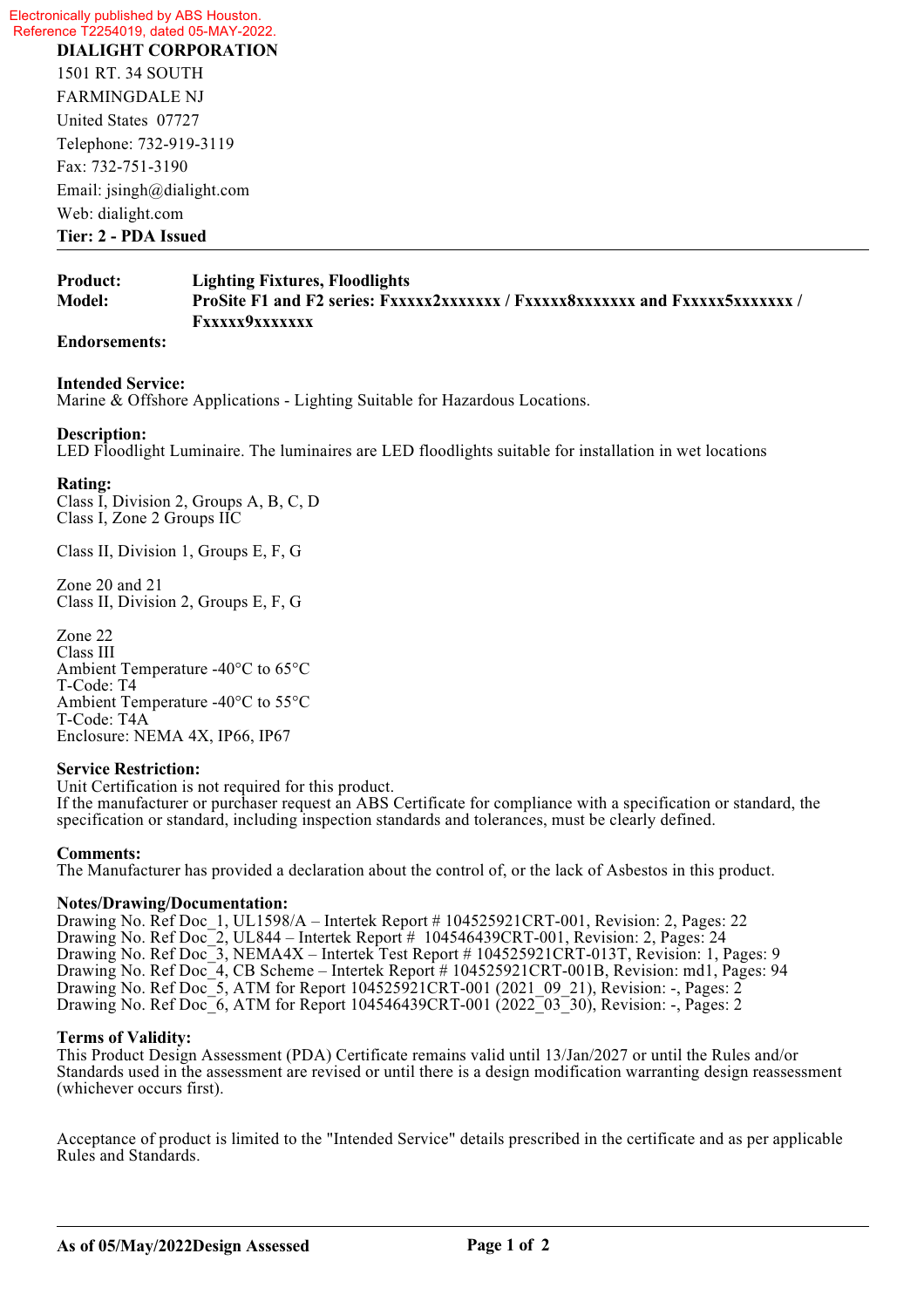Electronically published by ABS Houston. Reference T2254019, dated 05-MAY-2022.

**DIALIGHT CORPORATION**  1501 RT. 34 SOUTH FARMINGDALE NJ United States 07727 Telephone: 732-919-3119 Fax: 732-751-3190 Email: jsingh@dialight.com Web: dialight.com **Tier: 2 - PDA Issued**

### **Product: Lighting Fixtures, Floodlights Model: ProSite F1 and F2 series: Fxxxxx2xxxxxxx / Fxxxxx8xxxxxxx and Fxxxxx5xxxxxxx / Fxxxxx9xxxxxxx**

#### **Endorsements:**

#### **Intended Service:**

Marine & Offshore Applications - Lighting Suitable for Hazardous Locations.

#### **Description:**

LED Floodlight Luminaire. The luminaires are LED floodlights suitable for installation in wet locations

#### **Rating:**

Class I, Division 2, Groups A, B, C, D Class I, Zone 2 Groups IIC

Class II, Division 1, Groups E, F, G

Zone 20 and 21 Class II, Division 2, Groups E, F, G

Zone 22 Class III Ambient Temperature -40°C to 65°C T-Code: T4 Ambient Temperature -40°C to 55°C T-Code: T4A Enclosure: NEMA 4X, IP66, IP67

#### **Service Restriction:**

Unit Certification is not required for this product. If the manufacturer or purchaser request an ABS Certificate for compliance with a specification or standard, the specification or standard, including inspection standards and tolerances, must be clearly defined.

#### **Comments:**

The Manufacturer has provided a declaration about the control of, or the lack of Asbestos in this product.

#### **Notes/Drawing/Documentation:**

Drawing No. Ref Doc\_1, UL1598/A – Intertek Report # 104525921CRT-001, Revision: 2, Pages: 22 Drawing No. Ref Doc\_2, UL844 – Intertek Report # 104546439CRT-001, Revision: 2, Pages: 24 Drawing No. Ref Doc\_3, NEMA4X – Intertek Test Report # 104525921CRT-013T, Revision: 1, Pages: 9 Drawing No. Ref Doc<sup>7</sup>, CB Scheme – Intertek Report # 104525921CRT-001B, Revision: md1, Pages: 94 Drawing No. Ref Doc<sup>-5</sup>, ATM for Report 104525921CRT-001 (2021–09–21), Revision: -, Pages: 2 Drawing No. Ref Doc<sup>6</sup>, ATM for Report 104546439CRT-001 (2022<sup>-03-30</sup>), Revision: -, Pages: 2

#### **Terms of Validity:**

This Product Design Assessment (PDA) Certificate remains valid until 13/Jan/2027 or until the Rules and/or Standards used in the assessment are revised or until there is a design modification warranting design reassessment (whichever occurs first).

Acceptance of product is limited to the "Intended Service" details prescribed in the certificate and as per applicable Rules and Standards.